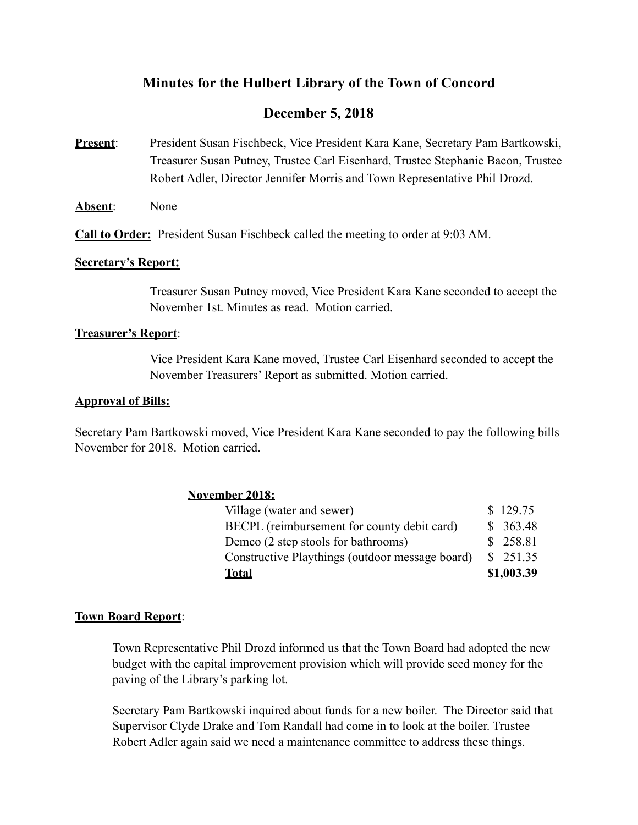# **Minutes for the Hulbert Library of the Town of Concord**

# **December 5, 2018**

- **Present**: President Susan Fischbeck, Vice President Kara Kane, Secretary Pam Bartkowski, Treasurer Susan Putney, Trustee Carl Eisenhard, Trustee Stephanie Bacon, Trustee Robert Adler, Director Jennifer Morris and Town Representative Phil Drozd.
- **Absent**: None

**Call to Order:** President Susan Fischbeck called the meeting to order at 9:03 AM.

#### **Secretary's Report:**

Treasurer Susan Putney moved, Vice President Kara Kane seconded to accept the November 1st. Minutes as read. Motion carried.

#### **Treasurer's Report**:

 Vice President Kara Kane moved, Trustee Carl Eisenhard seconded to accept the November Treasurers' Report as submitted. Motion carried.

#### **Approval of Bills:**

Secretary Pam Bartkowski moved, Vice President Kara Kane seconded to pay the following bills November for 2018. Motion carried.

## **November 2018:**

| Total                                           | \$1,003.39 |
|-------------------------------------------------|------------|
| Constructive Playthings (outdoor message board) | \$251.35   |
| Demco (2 step stools for bathrooms)             | \$258.81   |
| BECPL (reimbursement for county debit card)     | \$363.48   |
| Village (water and sewer)                       | \$129.75   |

## **Town Board Report**:

 Town Representative Phil Drozd informed us that the Town Board had adopted the new budget with the capital improvement provision which will provide seed money for the paving of the Library's parking lot.

 Secretary Pam Bartkowski inquired about funds for a new boiler. The Director said that Supervisor Clyde Drake and Tom Randall had come in to look at the boiler. Trustee Robert Adler again said we need a maintenance committee to address these things.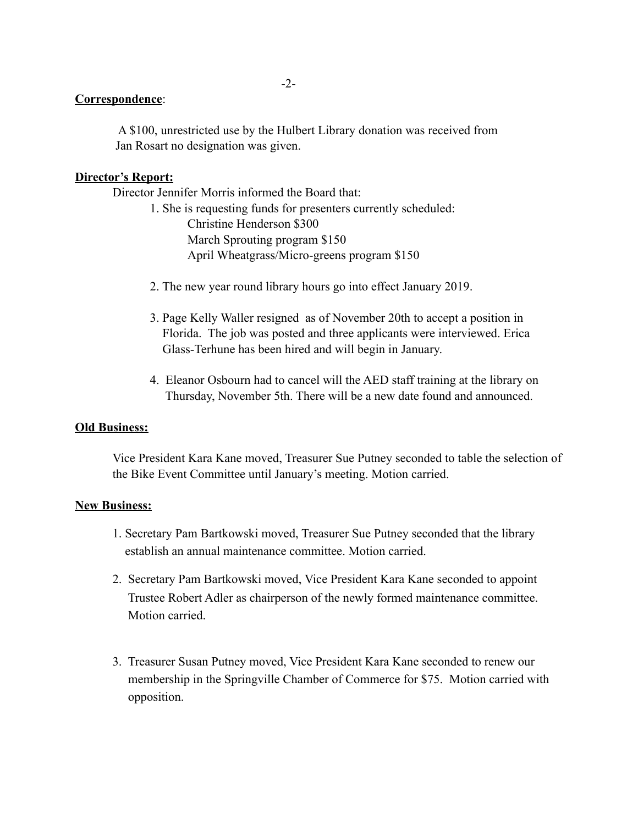# **Correspondence**:

 A \$100, unrestricted use by the Hulbert Library donation was received from Jan Rosart no designation was given.

# **Director's Report:**

Director Jennifer Morris informed the Board that:

- 1. She is requesting funds for presenters currently scheduled: Christine Henderson \$300 March Sprouting program \$150 April Wheatgrass/Micro-greens program \$150
- 2. The new year round library hours go into effect January 2019.
- 3. Page Kelly Waller resigned as of November 20th to accept a position in Florida. The job was posted and three applicants were interviewed. Erica Glass-Terhune has been hired and will begin in January.
- 4. Eleanor Osbourn had to cancel will the AED staff training at the library on Thursday, November 5th. There will be a new date found and announced.

## **Old Business:**

 Vice President Kara Kane moved, Treasurer Sue Putney seconded to table the selection of the Bike Event Committee until January's meeting. Motion carried.

## **New Business:**

- 1. Secretary Pam Bartkowski moved, Treasurer Sue Putney seconded that the library establish an annual maintenance committee. Motion carried.
- 2. Secretary Pam Bartkowski moved, Vice President Kara Kane seconded to appoint Trustee Robert Adler as chairperson of the newly formed maintenance committee. Motion carried.
- 3. Treasurer Susan Putney moved, Vice President Kara Kane seconded to renew our membership in the Springville Chamber of Commerce for \$75. Motion carried with opposition.